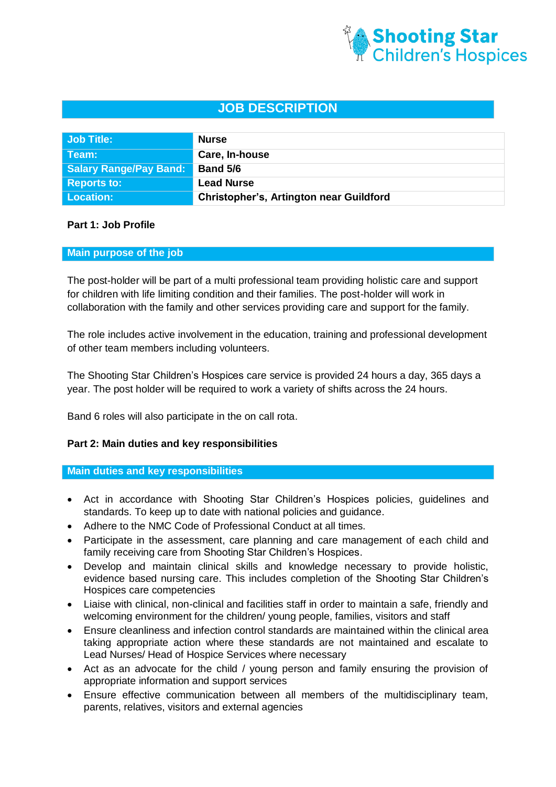

# **JOB DESCRIPTION**

| Job Title:                    | <b>Nurse</b>                                   |
|-------------------------------|------------------------------------------------|
| Team:                         | Care, In-house                                 |
| <b>Salary Range/Pay Band:</b> | <b>Band 5/6</b>                                |
| <b>Reports to:</b>            | <b>Lead Nurse</b>                              |
| <b>Location:</b>              | <b>Christopher's, Artington near Guildford</b> |

# **Part 1: Job Profile**

#### **Main purpose of the job**

The post-holder will be part of a multi professional team providing holistic care and support for children with life limiting condition and their families. The post-holder will work in collaboration with the family and other services providing care and support for the family.

The role includes active involvement in the education, training and professional development of other team members including volunteers.

The Shooting Star Children's Hospices care service is provided 24 hours a day, 365 days a year. The post holder will be required to work a variety of shifts across the 24 hours.

Band 6 roles will also participate in the on call rota.

#### **Part 2: Main duties and key responsibilities**

**Main duties and key responsibilities**

- Act in accordance with Shooting Star Children's Hospices policies, guidelines and standards. To keep up to date with national policies and guidance.
- Adhere to the NMC Code of Professional Conduct at all times.
- Participate in the assessment, care planning and care management of each child and family receiving care from Shooting Star Children's Hospices.
- Develop and maintain clinical skills and knowledge necessary to provide holistic, evidence based nursing care. This includes completion of the Shooting Star Children's Hospices care competencies
- Liaise with clinical, non-clinical and facilities staff in order to maintain a safe, friendly and welcoming environment for the children/ young people, families, visitors and staff
- Ensure cleanliness and infection control standards are maintained within the clinical area taking appropriate action where these standards are not maintained and escalate to Lead Nurses/ Head of Hospice Services where necessary
- Act as an advocate for the child / young person and family ensuring the provision of appropriate information and support services
- Ensure effective communication between all members of the multidisciplinary team, parents, relatives, visitors and external agencies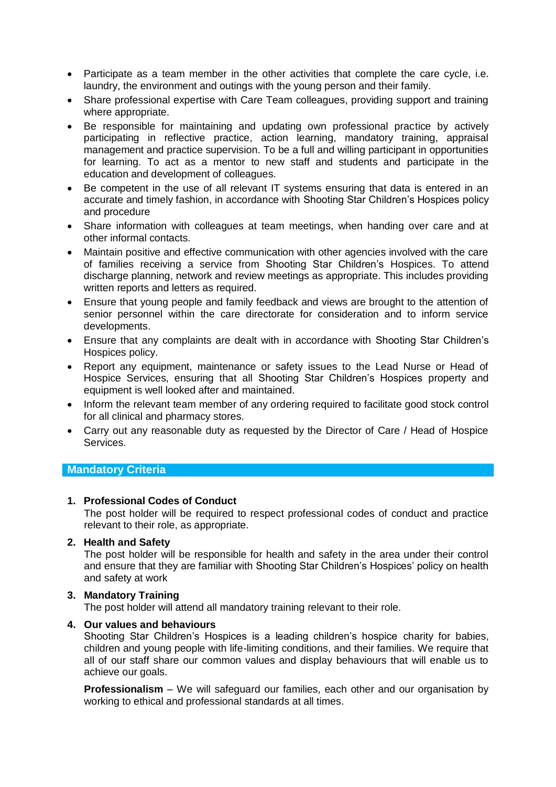- Participate as a team member in the other activities that complete the care cycle, i.e. laundry, the environment and outings with the young person and their family.
- Share professional expertise with Care Team colleagues, providing support and training where appropriate.
- Be responsible for maintaining and updating own professional practice by actively participating in reflective practice, action learning, mandatory training, appraisal management and practice supervision. To be a full and willing participant in opportunities for learning. To act as a mentor to new staff and students and participate in the education and development of colleagues.
- Be competent in the use of all relevant IT systems ensuring that data is entered in an accurate and timely fashion, in accordance with Shooting Star Children's Hospices policy and procedure
- Share information with colleagues at team meetings, when handing over care and at other informal contacts.
- Maintain positive and effective communication with other agencies involved with the care of families receiving a service from Shooting Star Children's Hospices. To attend discharge planning, network and review meetings as appropriate. This includes providing written reports and letters as required.
- Ensure that young people and family feedback and views are brought to the attention of senior personnel within the care directorate for consideration and to inform service developments.
- Ensure that any complaints are dealt with in accordance with Shooting Star Children's Hospices policy.
- Report any equipment, maintenance or safety issues to the Lead Nurse or Head of Hospice Services, ensuring that all Shooting Star Children's Hospices property and equipment is well looked after and maintained.
- Inform the relevant team member of any ordering required to facilitate good stock control for all clinical and pharmacy stores.
- Carry out any reasonable duty as requested by the Director of Care / Head of Hospice Services.

# **Mandatory Criteria**

# **1. Professional Codes of Conduct**

The post holder will be required to respect professional codes of conduct and practice relevant to their role, as appropriate.

# **2. Health and Safety**

The post holder will be responsible for health and safety in the area under their control and ensure that they are familiar with Shooting Star Children's Hospices' policy on health and safety at work

# **3. Mandatory Training**

The post holder will attend all mandatory training relevant to their role.

#### **4. Our values and behaviours**

Shooting Star Children's Hospices is a leading children's hospice charity for babies, children and young people with life-limiting conditions, and their families. We require that all of our staff share our common values and display behaviours that will enable us to achieve our goals.

**Professionalism** – We will safeguard our families, each other and our organisation by working to ethical and professional standards at all times.